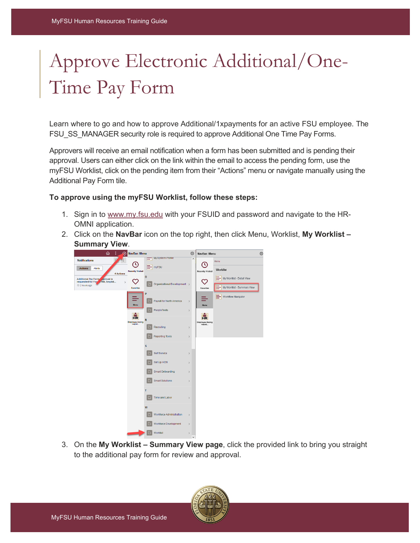## Approve Electronic Additional/One-Time Pay Form

Learn where to go and how to approve Additional/1xpayments for an active FSU employee. The FSU\_SS\_MANAGER security role is required to approve Additional One Time Pay Forms.

Approvers will receive an email notification when a form has been submitted and is pending their approval. Users can either click on the link within the email to access the pending form, use the myFSU Worklist, click on the pending item from their "Actions" menu or navigate manually using the Additional Pay Form tile.

## **To approve using the myFSU Worklist, follow these steps:**

- 1. Sign in to [www.my.fsu.edu](http://www.my.fsu.edu/) with your FSUID and password and navigate to the HR-OMNI application.
- 2. Click on the **NavBar** icon on the top right, then click Menu, Worklist, **My Worklist Summary View**.



3. On the **My Worklist – Summary View page**, click the provided link to bring you straight to the additional pay form for review and approval.

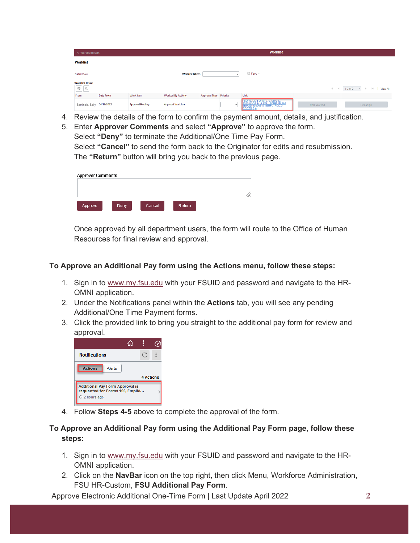| < Worklist Details            |            |                         |                           |                               |        | <b>Worklist</b>                                                                               |             |              |                                                    |
|-------------------------------|------------|-------------------------|---------------------------|-------------------------------|--------|-----------------------------------------------------------------------------------------------|-------------|--------------|----------------------------------------------------|
| <b>Worklist</b>               |            |                         |                           |                               |        |                                                                                               |             |              |                                                    |
| Detail View                   |            |                         | <b>Worklist Filters</b>   |                               |        | $\Box$ Feed -                                                                                 |             |              |                                                    |
| <b>Worklist Items</b>         |            |                         |                           |                               |        |                                                                                               |             |              |                                                    |
| $\mathbb{E} \left  \right $ Q |            |                         |                           |                               |        |                                                                                               |             | $\mathbb{R}$ | $1-3$ of $3$<br>$\mathbb{H}$<br>View All<br>$\sim$ |
| From                          | Date From  | <b>Work Item</b>        | <b>Worked By Activity</b> | <b>Approval Type Priority</b> |        | Link                                                                                          |             |              |                                                    |
| Seminole, Sally               | 04/19/2022 | <b>Approval Routing</b> | Approval Workflow         |                               | $\sim$ | FSU_ADDL_FORM, 378, SHARE,<br>2022-01-31, N_0, FSU_FORM_ID:166<br>EMPLID:000008471 EMPL_RCD:0 | Mark Worked |              | Reassign                                           |

- 4. Review the details of the form to confirm the payment amount, details, and justification.
- 5. Enter **Approver Comments** and select **"Approve"** to approve the form. Select **"Deny"** to terminate the Additional/One Time Pay Form. Select **"Cancel"** to send the form back to the Originator for edits and resubmission. The **"Return"** button will bring you back to the previous page.

| <b>Approver Comments</b> |      |        |        |  |
|--------------------------|------|--------|--------|--|
|                          |      |        |        |  |
| Approve                  | Deny | Cancel | Return |  |

Once approved by all department users, the form will route to the Office of Human Resources for final review and approval.

## **To Approve an Additional Pay form using the Actions menu, follow these steps:**

- 1. Sign in to [www.my.fsu.edu](http://www.my.fsu.edu/) with your FSUID and password and navigate to the HR-OMNI application.
- 2. Under the Notifications panel within the **Actions** tab, you will see any pending Additional/One Time Payment forms.
- 3. Click the provided link to bring you straight to the additional pay form for review and approval.



4. Follow **Steps 4-5** above to complete the approval of the form.

## **To Approve an Additional Pay form using the Additional Pay Form page, follow these steps:**

- 1. Sign in to [www.my.fsu.edu](http://www.my.fsu.edu/) with your FSUID and password and navigate to the HR-OMNI application.
- 2. Click on the **NavBar** icon on the top right, then click Menu, Workforce Administration, FSU HR-Custom, **FSU Additional Pay Form**.

Approve Electronic Additional One-Time Form | Last Update April 2022 **2**